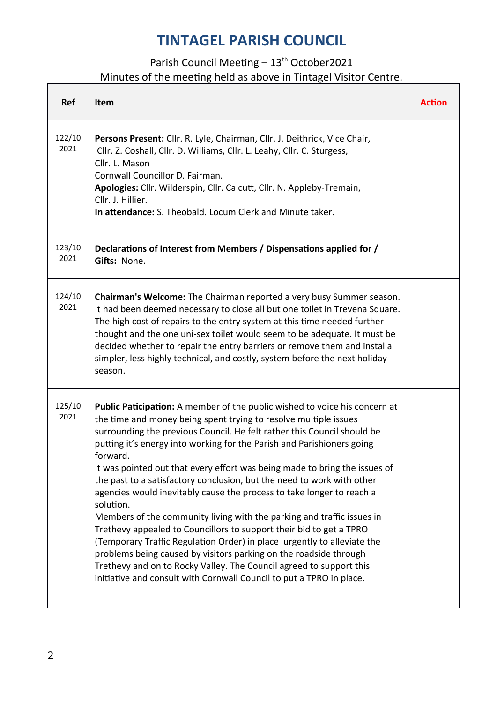| <b>Ref</b>     | Item                                                                                                                                                                                                                                                                                                                                                                                                                                                                                                                                                                                                                                                                                                                                                                                                                                                                                                                                                                                                          | <b>Action</b> |
|----------------|---------------------------------------------------------------------------------------------------------------------------------------------------------------------------------------------------------------------------------------------------------------------------------------------------------------------------------------------------------------------------------------------------------------------------------------------------------------------------------------------------------------------------------------------------------------------------------------------------------------------------------------------------------------------------------------------------------------------------------------------------------------------------------------------------------------------------------------------------------------------------------------------------------------------------------------------------------------------------------------------------------------|---------------|
| 122/10<br>2021 | Persons Present: Cllr. R. Lyle, Chairman, Cllr. J. Deithrick, Vice Chair,<br>Cllr. Z. Coshall, Cllr. D. Williams, Cllr. L. Leahy, Cllr. C. Sturgess,<br>Cllr. L. Mason<br>Cornwall Councillor D. Fairman.<br>Apologies: Cllr. Wilderspin, Cllr. Calcutt, Cllr. N. Appleby-Tremain,<br>Cllr. J. Hillier.<br>In attendance: S. Theobald. Locum Clerk and Minute taker.                                                                                                                                                                                                                                                                                                                                                                                                                                                                                                                                                                                                                                          |               |
| 123/10<br>2021 | Declarations of Interest from Members / Dispensations applied for /<br>Gifts: None.                                                                                                                                                                                                                                                                                                                                                                                                                                                                                                                                                                                                                                                                                                                                                                                                                                                                                                                           |               |
| 124/10<br>2021 | Chairman's Welcome: The Chairman reported a very busy Summer season.<br>It had been deemed necessary to close all but one toilet in Trevena Square.<br>The high cost of repairs to the entry system at this time needed further<br>thought and the one uni-sex toilet would seem to be adequate. It must be<br>decided whether to repair the entry barriers or remove them and instal a<br>simpler, less highly technical, and costly, system before the next holiday<br>season.                                                                                                                                                                                                                                                                                                                                                                                                                                                                                                                              |               |
| 125/10<br>2021 | Public Paticipation: A member of the public wished to voice his concern at<br>the time and money being spent trying to resolve multiple issues<br>surrounding the previous Council. He felt rather this Council should be<br>putting it's energy into working for the Parish and Parishioners going<br>forward.<br>It was pointed out that every effort was being made to bring the issues of<br>the past to a satisfactory conclusion, but the need to work with other<br>agencies would inevitably cause the process to take longer to reach a<br>solution.<br>Members of the community living with the parking and traffic issues in<br>Trethevy appealed to Councillors to support their bid to get a TPRO<br>(Temporary Traffic Regulation Order) in place urgently to alleviate the<br>problems being caused by visitors parking on the roadside through<br>Trethevy and on to Rocky Valley. The Council agreed to support this<br>initiative and consult with Cornwall Council to put a TPRO in place. |               |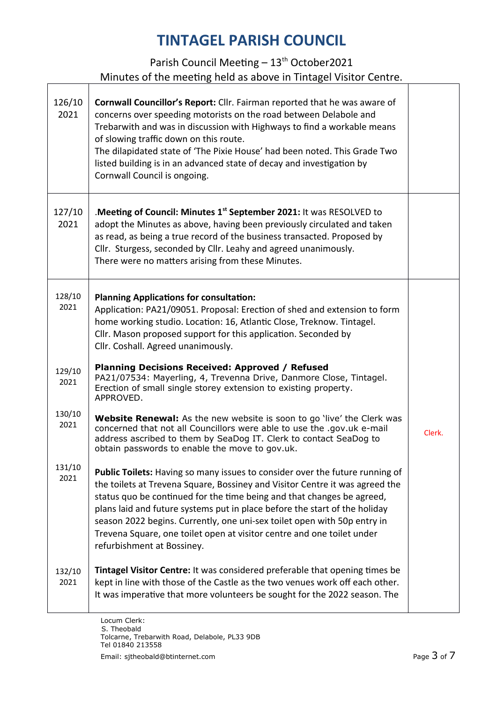| 126/10<br>2021 | <b>Cornwall Councillor's Report:</b> Cllr. Fairman reported that he was aware of<br>concerns over speeding motorists on the road between Delabole and<br>Trebarwith and was in discussion with Highways to find a workable means<br>of slowing traffic down on this route.<br>The dilapidated state of 'The Pixie House' had been noted. This Grade Two<br>listed building is in an advanced state of decay and investigation by<br>Cornwall Council is ongoing.                                         |        |
|----------------|----------------------------------------------------------------------------------------------------------------------------------------------------------------------------------------------------------------------------------------------------------------------------------------------------------------------------------------------------------------------------------------------------------------------------------------------------------------------------------------------------------|--------|
| 127/10<br>2021 | Meeting of Council: Minutes 1 <sup>st</sup> September 2021: It was RESOLVED to<br>adopt the Minutes as above, having been previously circulated and taken<br>as read, as being a true record of the business transacted. Proposed by<br>Cllr. Sturgess, seconded by Cllr. Leahy and agreed unanimously.<br>There were no matters arising from these Minutes.                                                                                                                                             |        |
| 128/10<br>2021 | <b>Planning Applications for consultation:</b><br>Application: PA21/09051. Proposal: Erection of shed and extension to form<br>home working studio. Location: 16, Atlantic Close, Treknow. Tintagel.<br>Cllr. Mason proposed support for this application. Seconded by<br>Cllr. Coshall. Agreed unanimously.                                                                                                                                                                                             |        |
| 129/10<br>2021 | <b>Planning Decisions Received: Approved / Refused</b><br>PA21/07534: Mayerling, 4, Trevenna Drive, Danmore Close, Tintagel.<br>Erection of small single storey extension to existing property.<br>APPROVED.                                                                                                                                                                                                                                                                                             |        |
| 130/10<br>2021 | <b>Website Renewal:</b> As the new website is soon to go 'live' the Clerk was<br>concerned that not all Councillors were able to use the .gov.uk e-mail<br>address ascribed to them by SeaDog IT. Clerk to contact SeaDog to<br>obtain passwords to enable the move to gov.uk.                                                                                                                                                                                                                           | Clerk. |
| 131/10<br>2021 | Public Toilets: Having so many issues to consider over the future running of<br>the toilets at Trevena Square, Bossiney and Visitor Centre it was agreed the<br>status quo be continued for the time being and that changes be agreed,<br>plans laid and future systems put in place before the start of the holiday<br>season 2022 begins. Currently, one uni-sex toilet open with 50p entry in<br>Trevena Square, one toilet open at visitor centre and one toilet under<br>refurbishment at Bossiney. |        |
| 132/10<br>2021 | Tintagel Visitor Centre: It was considered preferable that opening times be<br>kept in line with those of the Castle as the two venues work off each other.<br>It was imperative that more volunteers be sought for the 2022 season. The                                                                                                                                                                                                                                                                 |        |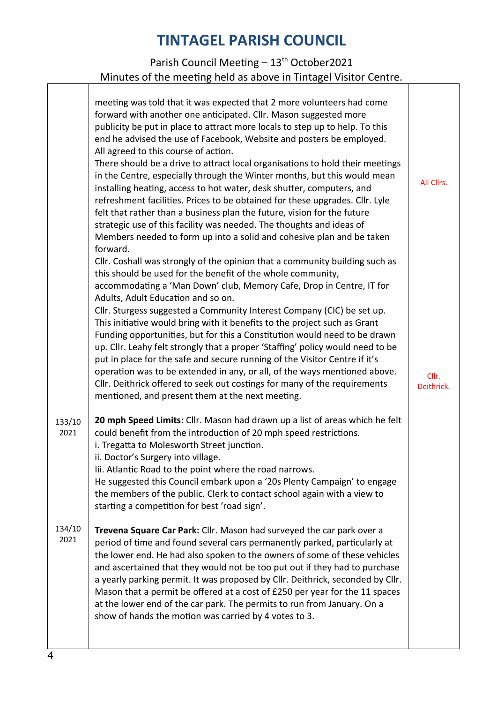|                | meeting was told that it was expected that 2 more volunteers had come<br>forward with another one anticipated. Cllr. Mason suggested more<br>publicity be put in place to attract more locals to step up to help. To this<br>end he advised the use of Facebook, Website and posters be employed.<br>All agreed to this course of action.<br>There should be a drive to attract local organisations to hold their meetings<br>in the Centre, especially through the Winter months, but this would mean<br>installing heating, access to hot water, desk shutter, computers, and<br>refreshment facilities. Prices to be obtained for these upgrades. Cllr. Lyle<br>felt that rather than a business plan the future, vision for the future<br>strategic use of this facility was needed. The thoughts and ideas of<br>Members needed to form up into a solid and cohesive plan and be taken<br>forward. | All Cllrs.          |
|----------------|---------------------------------------------------------------------------------------------------------------------------------------------------------------------------------------------------------------------------------------------------------------------------------------------------------------------------------------------------------------------------------------------------------------------------------------------------------------------------------------------------------------------------------------------------------------------------------------------------------------------------------------------------------------------------------------------------------------------------------------------------------------------------------------------------------------------------------------------------------------------------------------------------------|---------------------|
|                | Cllr. Coshall was strongly of the opinion that a community building such as<br>this should be used for the benefit of the whole community,<br>accommodating a 'Man Down' club, Memory Cafe, Drop in Centre, IT for<br>Adults, Adult Education and so on.<br>Cllr. Sturgess suggested a Community Interest Company (CIC) be set up.<br>This initiative would bring with it benefits to the project such as Grant<br>Funding opportunities, but for this a Constitution would need to be drawn<br>up. Cllr. Leahy felt strongly that a proper 'Staffing' policy would need to be<br>put in place for the safe and secure running of the Visitor Centre if it's<br>operation was to be extended in any, or all, of the ways mentioned above.<br>Cllr. Deithrick offered to seek out costings for many of the requirements<br>mentioned, and present them at the next meeting.                              | Cllr.<br>Deithrick. |
| 133/10<br>2021 | 20 mph Speed Limits: Cllr. Mason had drawn up a list of areas which he felt<br>could benefit from the introduction of 20 mph speed restrictions.<br>i. Tregatta to Molesworth Street junction.<br>ii. Doctor's Surgery into village.<br>Iii. Atlantic Road to the point where the road narrows.<br>He suggested this Council embark upon a '20s Plenty Campaign' to engage<br>the members of the public. Clerk to contact school again with a view to<br>starting a competition for best 'road sign'.                                                                                                                                                                                                                                                                                                                                                                                                   |                     |
| 134/10<br>2021 | Trevena Square Car Park: Cllr. Mason had surveyed the car park over a<br>period of time and found several cars permanently parked, particularly at<br>the lower end. He had also spoken to the owners of some of these vehicles<br>and ascertained that they would not be too put out if they had to purchase<br>a yearly parking permit. It was proposed by Cllr. Deithrick, seconded by Cllr.<br>Mason that a permit be offered at a cost of £250 per year for the 11 spaces<br>at the lower end of the car park. The permits to run from January. On a<br>show of hands the motion was carried by 4 votes to 3.                                                                                                                                                                                                                                                                                      |                     |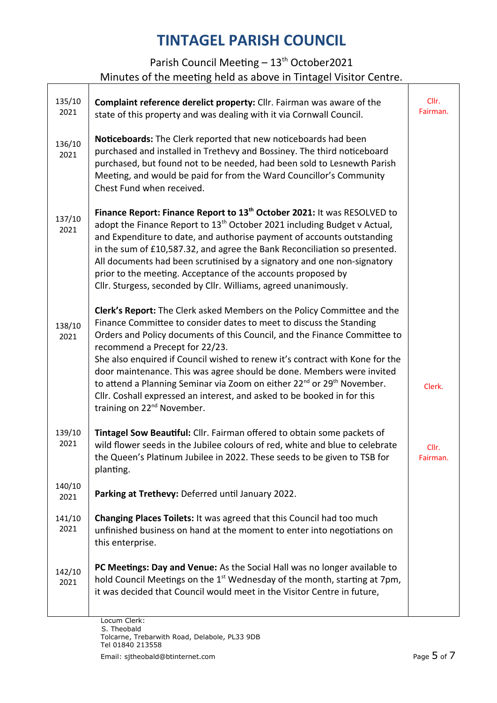| 135/10<br>2021 | Complaint reference derelict property: Cllr. Fairman was aware of the<br>state of this property and was dealing with it via Cornwall Council.                                                                                                                                                                                                                                                                                                                                                                                                                                                                                                 | Cllr.<br>Fairman. |
|----------------|-----------------------------------------------------------------------------------------------------------------------------------------------------------------------------------------------------------------------------------------------------------------------------------------------------------------------------------------------------------------------------------------------------------------------------------------------------------------------------------------------------------------------------------------------------------------------------------------------------------------------------------------------|-------------------|
| 136/10<br>2021 | Noticeboards: The Clerk reported that new noticeboards had been<br>purchased and installed in Trethevy and Bossiney. The third noticeboard<br>purchased, but found not to be needed, had been sold to Lesnewth Parish<br>Meeting, and would be paid for from the Ward Councillor's Community<br>Chest Fund when received.                                                                                                                                                                                                                                                                                                                     |                   |
| 137/10<br>2021 | Finance Report: Finance Report to 13 <sup>th</sup> October 2021: It was RESOLVED to<br>adopt the Finance Report to 13 <sup>th</sup> October 2021 including Budget v Actual,<br>and Expenditure to date, and authorise payment of accounts outstanding<br>in the sum of £10,587.32, and agree the Bank Reconciliation so presented.<br>All documents had been scrutinised by a signatory and one non-signatory<br>prior to the meeting. Acceptance of the accounts proposed by<br>Cllr. Sturgess, seconded by Cllr. Williams, agreed unanimously.                                                                                              |                   |
| 138/10<br>2021 | Clerk's Report: The Clerk asked Members on the Policy Committee and the<br>Finance Committee to consider dates to meet to discuss the Standing<br>Orders and Policy documents of this Council, and the Finance Committee to<br>recommend a Precept for 22/23.<br>She also enquired if Council wished to renew it's contract with Kone for the<br>door maintenance. This was agree should be done. Members were invited<br>to attend a Planning Seminar via Zoom on either 22 <sup>nd</sup> or 29 <sup>th</sup> November.<br>Cllr. Coshall expressed an interest, and asked to be booked in for this<br>training on 22 <sup>nd</sup> November. | Clerk.            |
| 139/10<br>2021 | Tintagel Sow Beautiful: Cllr. Fairman offered to obtain some packets of<br>wild flower seeds in the Jubilee colours of red, white and blue to celebrate<br>the Queen's Platinum Jubilee in 2022. These seeds to be given to TSB for<br>planting.                                                                                                                                                                                                                                                                                                                                                                                              | Cllr.<br>Fairman. |
| 140/10<br>2021 | Parking at Trethevy: Deferred until January 2022.                                                                                                                                                                                                                                                                                                                                                                                                                                                                                                                                                                                             |                   |
| 141/10<br>2021 | Changing Places Toilets: It was agreed that this Council had too much<br>unfinished business on hand at the moment to enter into negotiations on<br>this enterprise.                                                                                                                                                                                                                                                                                                                                                                                                                                                                          |                   |
| 142/10<br>2021 | PC Meetings: Day and Venue: As the Social Hall was no longer available to<br>hold Council Meetings on the 1 <sup>st</sup> Wednesday of the month, starting at 7pm,<br>it was decided that Council would meet in the Visitor Centre in future,                                                                                                                                                                                                                                                                                                                                                                                                 |                   |